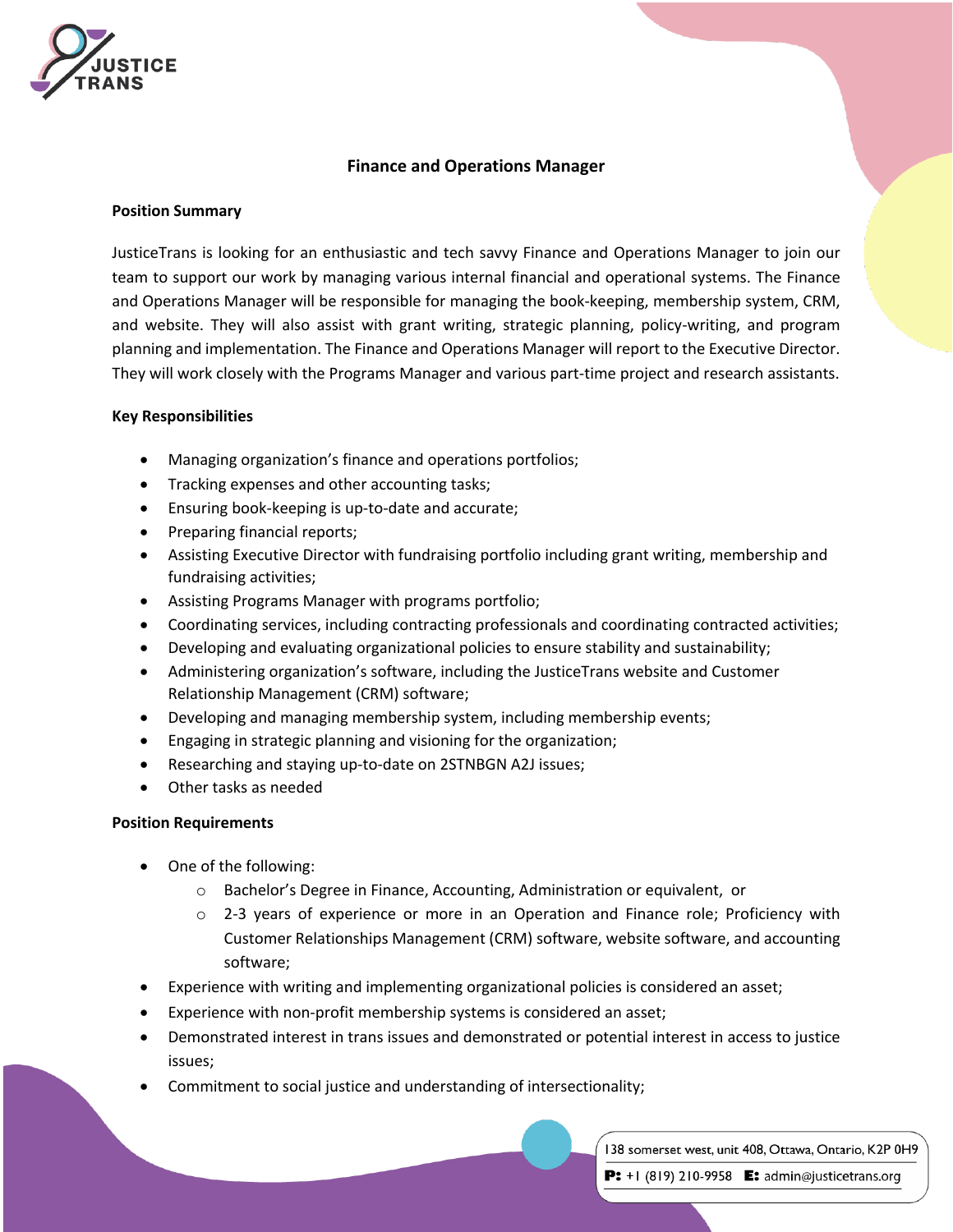

# **Finance and Operations Manager**

## **Position Summary**

JusticeTrans is looking for an enthusiastic and tech savvy Finance and Operations Manager to join our team to support our work by managing various internal financial and operational systems. The Finance and Operations Manager will be responsible for managing the book-keeping, membership system, CRM, and website. They will also assist with grant writing, strategic planning, policy-writing, and program planning and implementation. The Finance and Operations Manager will report to the Executive Director. They will work closely with the Programs Manager and various part-time project and research assistants.

## **Key Responsibilities**

- Managing organization's finance and operations portfolios;
- Tracking expenses and other accounting tasks;
- Ensuring book-keeping is up-to-date and accurate;
- Preparing financial reports;
- Assisting Executive Director with fundraising portfolio including grant writing, membership and fundraising activities;
- Assisting Programs Manager with programs portfolio;
- Coordinating services, including contracting professionals and coordinating contracted activities;
- Developing and evaluating organizational policies to ensure stability and sustainability;
- Administering organization's software, including the JusticeTrans website and Customer Relationship Management (CRM) software;
- Developing and managing membership system, including membership events;
- Engaging in strategic planning and visioning for the organization;
- Researching and staying up-to-date on 2STNBGN A2J issues;
- Other tasks as needed

## **Position Requirements**

- One of the following:
	- o Bachelor's Degree in Finance, Accounting, Administration or equivalent, or
	- o 2-3 years of experience or more in an Operation and Finance role; Proficiency with Customer Relationships Management (CRM) software, website software, and accounting software;
- Experience with writing and implementing organizational policies is considered an asset;
- Experience with non-profit membership systems is considered an asset;
- Demonstrated interest in trans issues and demonstrated or potential interest in access to justice issues;
- Commitment to social justice and understanding of intersectionality;

138 somerset west, unit 408, Ottawa, Ontario, K2P 0H9

P:  $+1$  (819) 210-9958 E: admin@justicetrans.org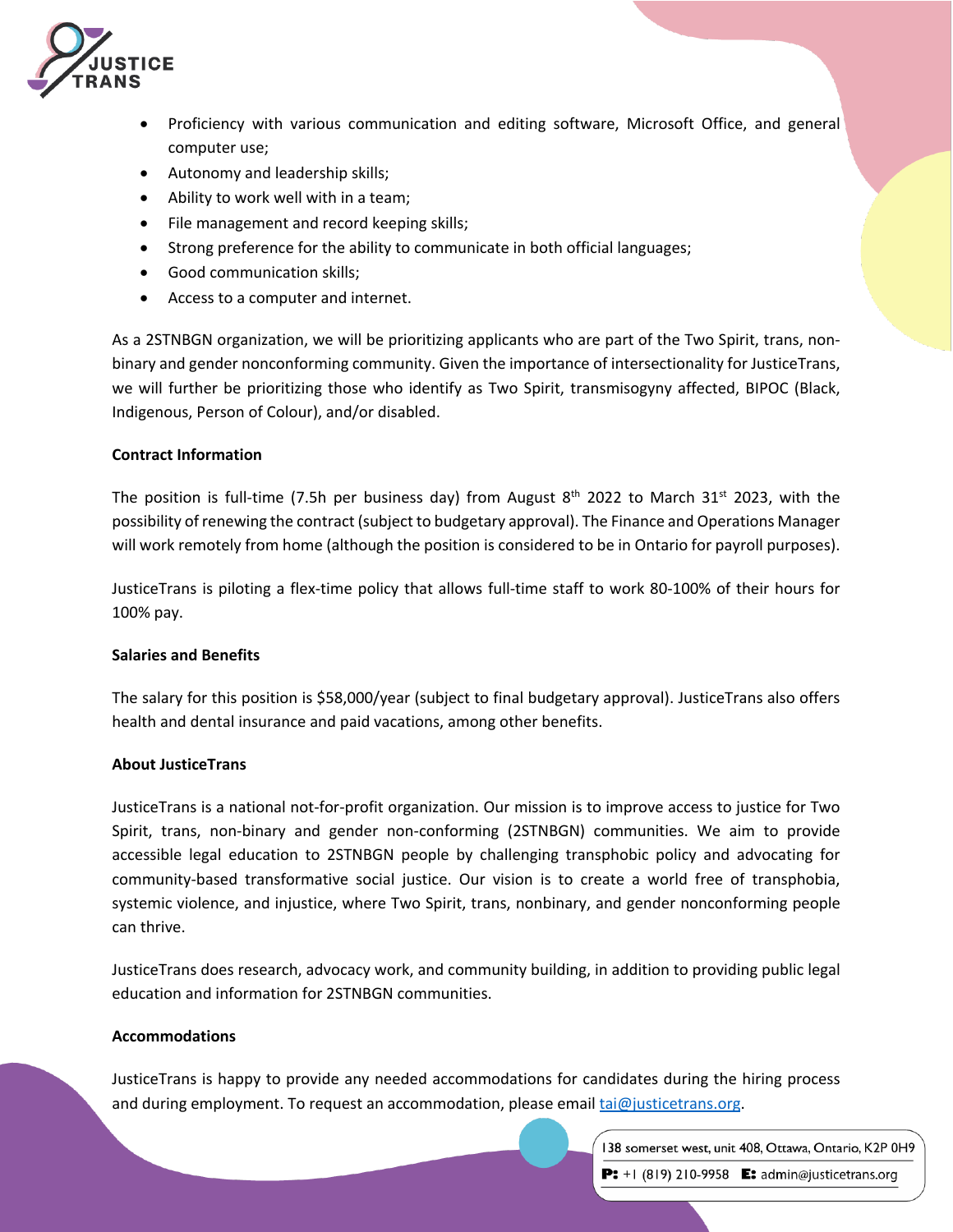

- Proficiency with various communication and editing software, Microsoft Office, and general computer use;
- Autonomy and leadership skills;
- Ability to work well with in a team;
- File management and record keeping skills;
- Strong preference for the ability to communicate in both official languages;
- Good communication skills;
- Access to a computer and internet.

As a 2STNBGN organization, we will be prioritizing applicants who are part of the Two Spirit, trans, nonbinary and gender nonconforming community. Given the importance of intersectionality for JusticeTrans, we will further be prioritizing those who identify as Two Spirit, transmisogyny affected, BIPOC (Black, Indigenous, Person of Colour), and/or disabled.

## **Contract Information**

The position is full-time (7.5h per business day) from August  $8<sup>th</sup>$  2022 to March 31<sup>st</sup> 2023, with the possibility of renewing the contract (subject to budgetary approval). The Finance and Operations Manager will work remotely from home (although the position is considered to be in Ontario for payroll purposes).

JusticeTrans is piloting a flex-time policy that allows full-time staff to work 80-100% of their hours for 100% pay.

### **Salaries and Benefits**

The salary for this position is \$58,000/year (subject to final budgetary approval). JusticeTrans also offers health and dental insurance and paid vacations, among other benefits.

### **About JusticeTrans**

JusticeTrans is a national not-for-profit organization. Our mission is to improve access to justice for Two Spirit, trans, non-binary and gender non-conforming (2STNBGN) communities. We aim to provide accessible legal education to 2STNBGN people by challenging transphobic policy and advocating for community-based transformative social justice. Our vision is to create a world free of transphobia, systemic violence, and injustice, where Two Spirit, trans, nonbinary, and gender nonconforming people can thrive.

JusticeTrans does research, advocacy work, and community building, in addition to providing public legal education and information for 2STNBGN communities.

### **Accommodations**

JusticeTrans is happy to provide any needed accommodations for candidates during the hiring process and during employment. To request an accommodation, please email tai@justicetrans.org.

138 somerset west, unit 408, Ottawa, Ontario, K2P 0H9

P: +1 (819) 210-9958 E: admin@justicetrans.org